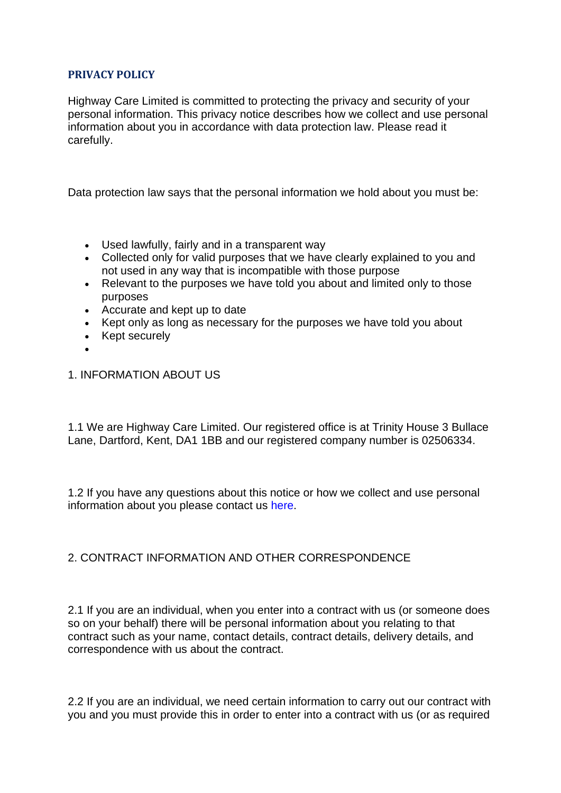## **PRIVACY POLICY**

Highway Care Limited is committed to protecting the privacy and security of your personal information. This privacy notice describes how we collect and use personal information about you in accordance with data protection law. Please read it carefully.

Data protection law says that the personal information we hold about you must be:

- Used lawfully, fairly and in a transparent way
- Collected only for valid purposes that we have clearly explained to you and not used in any way that is incompatible with those purpose
- Relevant to the purposes we have told you about and limited only to those purposes
- Accurate and kept up to date
- Kept only as long as necessary for the purposes we have told you about
- Kept securely
- •
- 1. INFORMATION ABOUT US

1.1 We are Highway Care Limited. Our registered office is at Trinity House 3 Bullace Lane, Dartford, Kent, DA1 1BB and our registered company number is 02506334.

1.2 If you have any questions about this notice or how we collect and use personal information about you please contact us [here.](https://www.highwaycare.com/contact)

# 2. CONTRACT INFORMATION AND OTHER CORRESPONDENCE

2.1 If you are an individual, when you enter into a contract with us (or someone does so on your behalf) there will be personal information about you relating to that contract such as your name, contact details, contract details, delivery details, and correspondence with us about the contract.

2.2 If you are an individual, we need certain information to carry out our contract with you and you must provide this in order to enter into a contract with us (or as required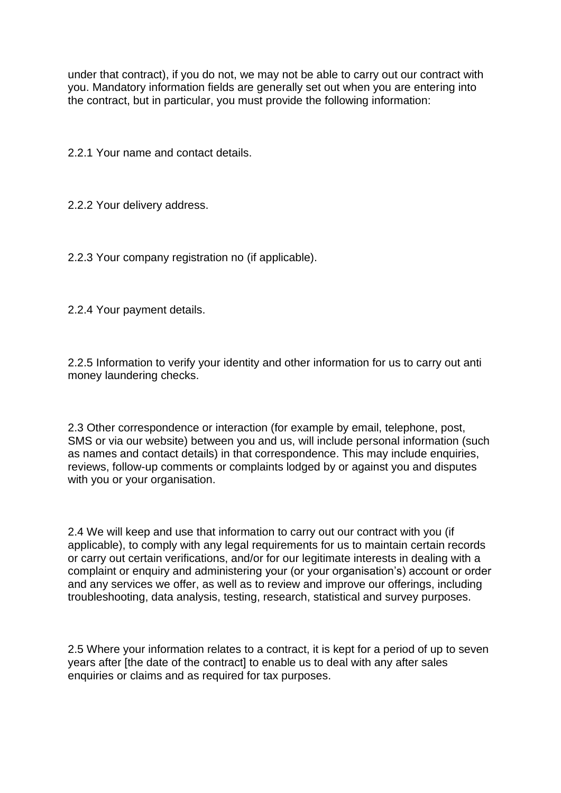under that contract), if you do not, we may not be able to carry out our contract with you. Mandatory information fields are generally set out when you are entering into the contract, but in particular, you must provide the following information:

2.2.1 Your name and contact details.

2.2.2 Your delivery address.

2.2.3 Your company registration no (if applicable).

2.2.4 Your payment details.

2.2.5 Information to verify your identity and other information for us to carry out anti money laundering checks.

2.3 Other correspondence or interaction (for example by email, telephone, post, SMS or via our website) between you and us, will include personal information (such as names and contact details) in that correspondence. This may include enquiries, reviews, follow-up comments or complaints lodged by or against you and disputes with you or your organisation.

2.4 We will keep and use that information to carry out our contract with you (if applicable), to comply with any legal requirements for us to maintain certain records or carry out certain verifications, and/or for our legitimate interests in dealing with a complaint or enquiry and administering your (or your organisation's) account or order and any services we offer, as well as to review and improve our offerings, including troubleshooting, data analysis, testing, research, statistical and survey purposes.

2.5 Where your information relates to a contract, it is kept for a period of up to seven years after [the date of the contract] to enable us to deal with any after sales enquiries or claims and as required for tax purposes.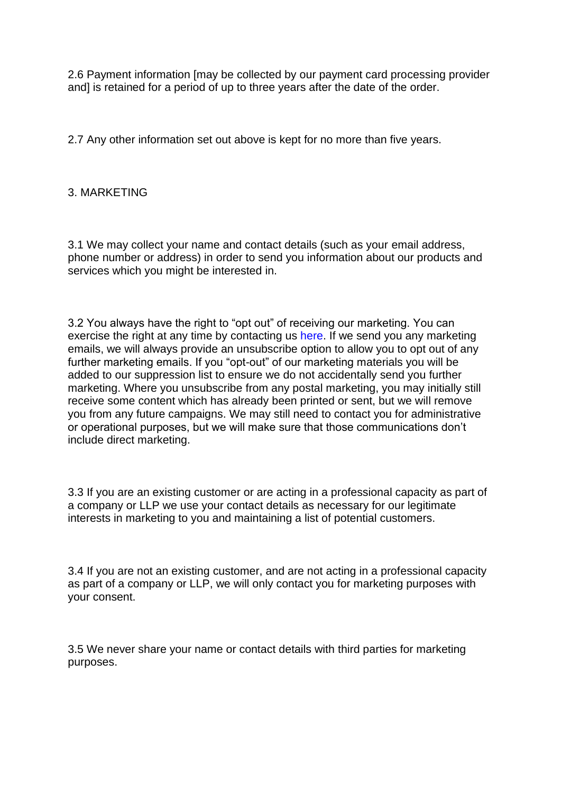2.6 Payment information [may be collected by our payment card processing provider and] is retained for a period of up to three years after the date of the order.

2.7 Any other information set out above is kept for no more than five years.

## 3. MARKETING

3.1 We may collect your name and contact details (such as your email address, phone number or address) in order to send you information about our products and services which you might be interested in.

3.2 You always have the right to "opt out" of receiving our marketing. You can exercise the right at any time by contacting us [here.](https://www.highwaycare.com/contact) If we send you any marketing emails, we will always provide an unsubscribe option to allow you to opt out of any further marketing emails. If you "opt-out" of our marketing materials you will be added to our suppression list to ensure we do not accidentally send you further marketing. Where you unsubscribe from any postal marketing, you may initially still receive some content which has already been printed or sent, but we will remove you from any future campaigns. We may still need to contact you for administrative or operational purposes, but we will make sure that those communications don't include direct marketing.

3.3 If you are an existing customer or are acting in a professional capacity as part of a company or LLP we use your contact details as necessary for our legitimate interests in marketing to you and maintaining a list of potential customers.

3.4 If you are not an existing customer, and are not acting in a professional capacity as part of a company or LLP, we will only contact you for marketing purposes with your consent.

3.5 We never share your name or contact details with third parties for marketing purposes.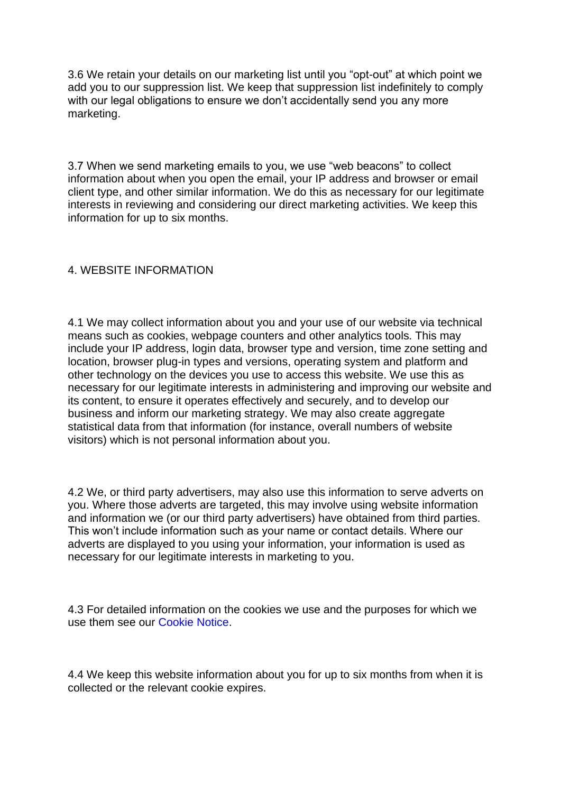3.6 We retain your details on our marketing list until you "opt-out" at which point we add you to our suppression list. We keep that suppression list indefinitely to comply with our legal obligations to ensure we don't accidentally send you any more marketing.

3.7 When we send marketing emails to you, we use "web beacons" to collect information about when you open the email, your IP address and browser or email client type, and other similar information. We do this as necessary for our legitimate interests in reviewing and considering our direct marketing activities. We keep this information for up to six months.

## 4. WEBSITE INFORMATION

4.1 We may collect information about you and your use of our website via technical means such as cookies, webpage counters and other analytics tools. This may include your IP address, login data, browser type and version, time zone setting and location, browser plug-in types and versions, operating system and platform and other technology on the devices you use to access this website. We use this as necessary for our legitimate interests in administering and improving our website and its content, to ensure it operates effectively and securely, and to develop our business and inform our marketing strategy. We may also create aggregate statistical data from that information (for instance, overall numbers of website visitors) which is not personal information about you.

4.2 We, or third party advertisers, may also use this information to serve adverts on you. Where those adverts are targeted, this may involve using website information and information we (or our third party advertisers) have obtained from third parties. This won't include information such as your name or contact details. Where our adverts are displayed to you using your information, your information is used as necessary for our legitimate interests in marketing to you.

4.3 For detailed information on the cookies we use and the purposes for which we use them see our [Cookie Notice.](https://www.highwaycare.com/cookies)

4.4 We keep this website information about you for up to six months from when it is collected or the relevant cookie expires.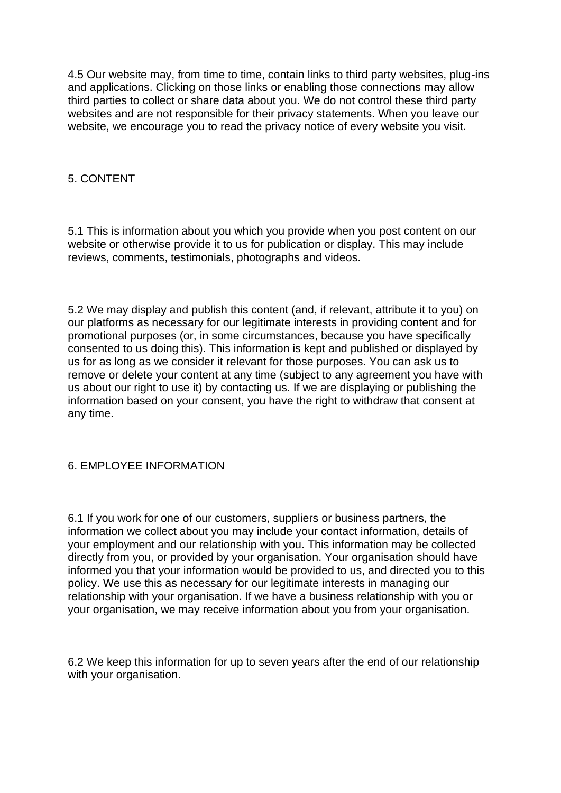4.5 Our website may, from time to time, contain links to third party websites, plug-ins and applications. Clicking on those links or enabling those connections may allow third parties to collect or share data about you. We do not control these third party websites and are not responsible for their privacy statements. When you leave our website, we encourage you to read the privacy notice of every website you visit.

### 5. CONTENT

5.1 This is information about you which you provide when you post content on our website or otherwise provide it to us for publication or display. This may include reviews, comments, testimonials, photographs and videos.

5.2 We may display and publish this content (and, if relevant, attribute it to you) on our platforms as necessary for our legitimate interests in providing content and for promotional purposes (or, in some circumstances, because you have specifically consented to us doing this). This information is kept and published or displayed by us for as long as we consider it relevant for those purposes. You can ask us to remove or delete your content at any time (subject to any agreement you have with us about our right to use it) by contacting us. If we are displaying or publishing the information based on your consent, you have the right to withdraw that consent at any time.

### 6. EMPLOYEE INFORMATION

6.1 If you work for one of our customers, suppliers or business partners, the information we collect about you may include your contact information, details of your employment and our relationship with you. This information may be collected directly from you, or provided by your organisation. Your organisation should have informed you that your information would be provided to us, and directed you to this policy. We use this as necessary for our legitimate interests in managing our relationship with your organisation. If we have a business relationship with you or your organisation, we may receive information about you from your organisation.

6.2 We keep this information for up to seven years after the end of our relationship with your organisation.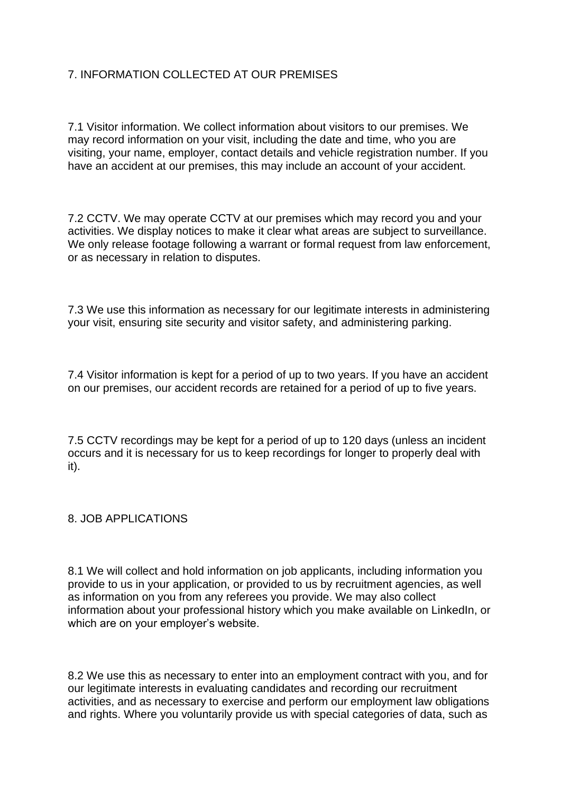# 7. INFORMATION COLLECTED AT OUR PREMISES

7.1 Visitor information. We collect information about visitors to our premises. We may record information on your visit, including the date and time, who you are visiting, your name, employer, contact details and vehicle registration number. If you have an accident at our premises, this may include an account of your accident.

7.2 CCTV. We may operate CCTV at our premises which may record you and your activities. We display notices to make it clear what areas are subject to surveillance. We only release footage following a warrant or formal request from law enforcement, or as necessary in relation to disputes.

7.3 We use this information as necessary for our legitimate interests in administering your visit, ensuring site security and visitor safety, and administering parking.

7.4 Visitor information is kept for a period of up to two years. If you have an accident on our premises, our accident records are retained for a period of up to five years.

7.5 CCTV recordings may be kept for a period of up to 120 days (unless an incident occurs and it is necessary for us to keep recordings for longer to properly deal with it).

8. JOB APPLICATIONS

8.1 We will collect and hold information on job applicants, including information you provide to us in your application, or provided to us by recruitment agencies, as well as information on you from any referees you provide. We may also collect information about your professional history which you make available on LinkedIn, or which are on your employer's website.

8.2 We use this as necessary to enter into an employment contract with you, and for our legitimate interests in evaluating candidates and recording our recruitment activities, and as necessary to exercise and perform our employment law obligations and rights. Where you voluntarily provide us with special categories of data, such as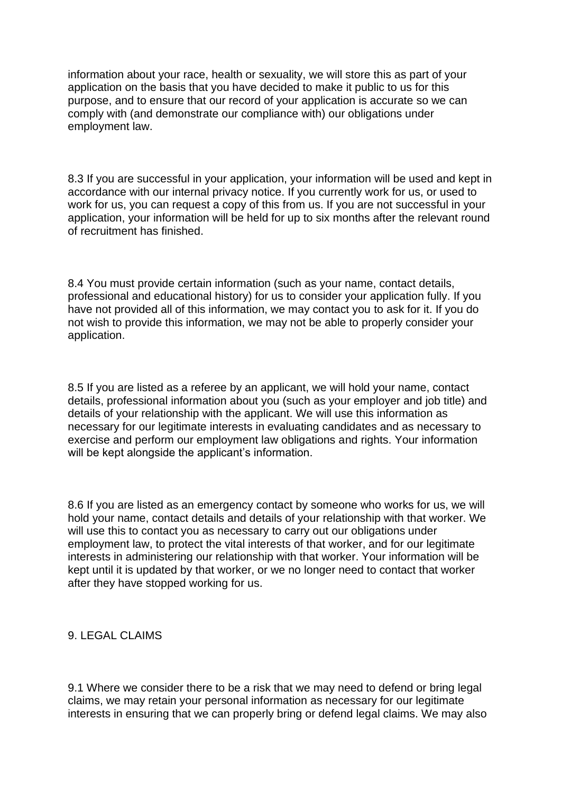information about your race, health or sexuality, we will store this as part of your application on the basis that you have decided to make it public to us for this purpose, and to ensure that our record of your application is accurate so we can comply with (and demonstrate our compliance with) our obligations under employment law.

8.3 If you are successful in your application, your information will be used and kept in accordance with our internal privacy notice. If you currently work for us, or used to work for us, you can request a copy of this from us. If you are not successful in your application, your information will be held for up to six months after the relevant round of recruitment has finished.

8.4 You must provide certain information (such as your name, contact details, professional and educational history) for us to consider your application fully. If you have not provided all of this information, we may contact you to ask for it. If you do not wish to provide this information, we may not be able to properly consider your application.

8.5 If you are listed as a referee by an applicant, we will hold your name, contact details, professional information about you (such as your employer and job title) and details of your relationship with the applicant. We will use this information as necessary for our legitimate interests in evaluating candidates and as necessary to exercise and perform our employment law obligations and rights. Your information will be kept alongside the applicant's information.

8.6 If you are listed as an emergency contact by someone who works for us, we will hold your name, contact details and details of your relationship with that worker. We will use this to contact you as necessary to carry out our obligations under employment law, to protect the vital interests of that worker, and for our legitimate interests in administering our relationship with that worker. Your information will be kept until it is updated by that worker, or we no longer need to contact that worker after they have stopped working for us.

### 9. LEGAL CLAIMS

9.1 Where we consider there to be a risk that we may need to defend or bring legal claims, we may retain your personal information as necessary for our legitimate interests in ensuring that we can properly bring or defend legal claims. We may also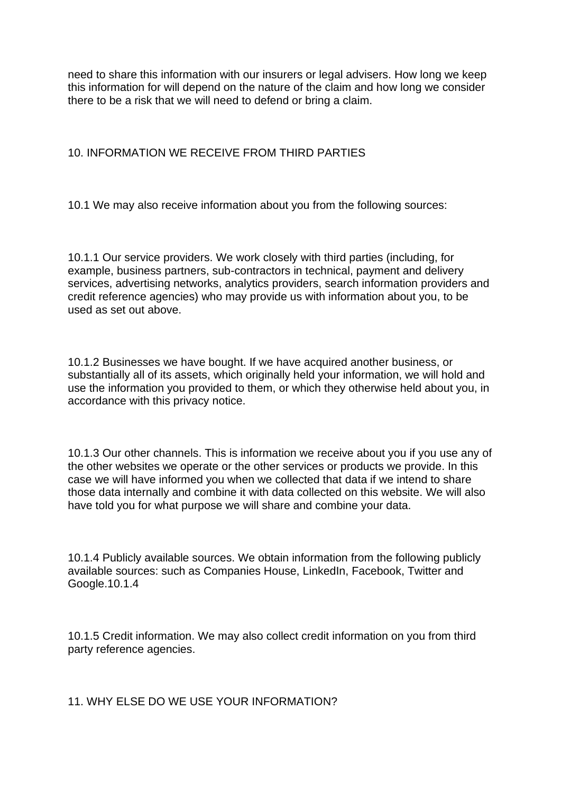need to share this information with our insurers or legal advisers. How long we keep this information for will depend on the nature of the claim and how long we consider there to be a risk that we will need to defend or bring a claim.

## 10. INFORMATION WE RECEIVE FROM THIRD PARTIES

10.1 We may also receive information about you from the following sources:

10.1.1 Our service providers. We work closely with third parties (including, for example, business partners, sub-contractors in technical, payment and delivery services, advertising networks, analytics providers, search information providers and credit reference agencies) who may provide us with information about you, to be used as set out above.

10.1.2 Businesses we have bought. If we have acquired another business, or substantially all of its assets, which originally held your information, we will hold and use the information you provided to them, or which they otherwise held about you, in accordance with this privacy notice.

10.1.3 Our other channels. This is information we receive about you if you use any of the other websites we operate or the other services or products we provide. In this case we will have informed you when we collected that data if we intend to share those data internally and combine it with data collected on this website. We will also have told you for what purpose we will share and combine your data.

10.1.4 Publicly available sources. We obtain information from the following publicly available sources: such as Companies House, LinkedIn, Facebook, Twitter and Google.10.1.4

10.1.5 Credit information. We may also collect credit information on you from third party reference agencies.

11. WHY ELSE DO WE USE YOUR INFORMATION?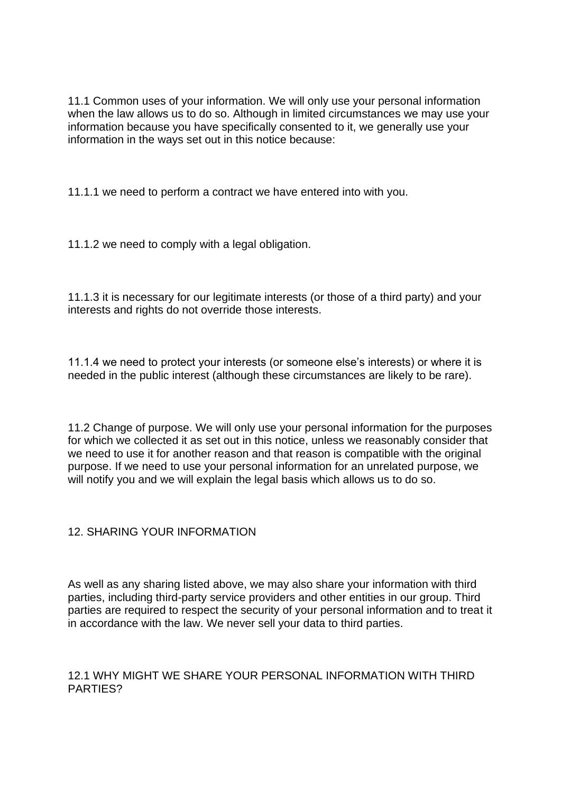11.1 Common uses of your information. We will only use your personal information when the law allows us to do so. Although in limited circumstances we may use your information because you have specifically consented to it, we generally use your information in the ways set out in this notice because:

11.1.1 we need to perform a contract we have entered into with you.

11.1.2 we need to comply with a legal obligation.

11.1.3 it is necessary for our legitimate interests (or those of a third party) and your interests and rights do not override those interests.

11.1.4 we need to protect your interests (or someone else's interests) or where it is needed in the public interest (although these circumstances are likely to be rare).

11.2 Change of purpose. We will only use your personal information for the purposes for which we collected it as set out in this notice, unless we reasonably consider that we need to use it for another reason and that reason is compatible with the original purpose. If we need to use your personal information for an unrelated purpose, we will notify you and we will explain the legal basis which allows us to do so.

# 12. SHARING YOUR INFORMATION

As well as any sharing listed above, we may also share your information with third parties, including third-party service providers and other entities in our group. Third parties are required to respect the security of your personal information and to treat it in accordance with the law. We never sell your data to third parties.

## 12.1 WHY MIGHT WE SHARE YOUR PERSONAL INFORMATION WITH THIRD PARTIES?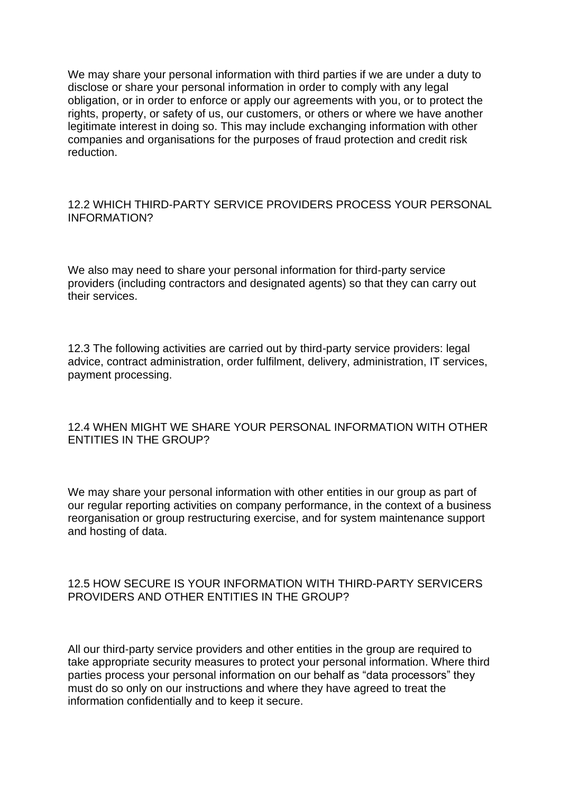We may share your personal information with third parties if we are under a duty to disclose or share your personal information in order to comply with any legal obligation, or in order to enforce or apply our agreements with you, or to protect the rights, property, or safety of us, our customers, or others or where we have another legitimate interest in doing so. This may include exchanging information with other companies and organisations for the purposes of fraud protection and credit risk reduction.

#### 12.2 WHICH THIRD-PARTY SERVICE PROVIDERS PROCESS YOUR PERSONAL INFORMATION?

We also may need to share your personal information for third-party service providers (including contractors and designated agents) so that they can carry out their services.

12.3 The following activities are carried out by third-party service providers: legal advice, contract administration, order fulfilment, delivery, administration, IT services, payment processing.

### 12.4 WHEN MIGHT WE SHARE YOUR PERSONAL INFORMATION WITH OTHER ENTITIES IN THE GROUP?

We may share your personal information with other entities in our group as part of our regular reporting activities on company performance, in the context of a business reorganisation or group restructuring exercise, and for system maintenance support and hosting of data.

### 12.5 HOW SECURE IS YOUR INFORMATION WITH THIRD-PARTY SERVICERS PROVIDERS AND OTHER ENTITIES IN THE GROUP?

All our third-party service providers and other entities in the group are required to take appropriate security measures to protect your personal information. Where third parties process your personal information on our behalf as "data processors" they must do so only on our instructions and where they have agreed to treat the information confidentially and to keep it secure.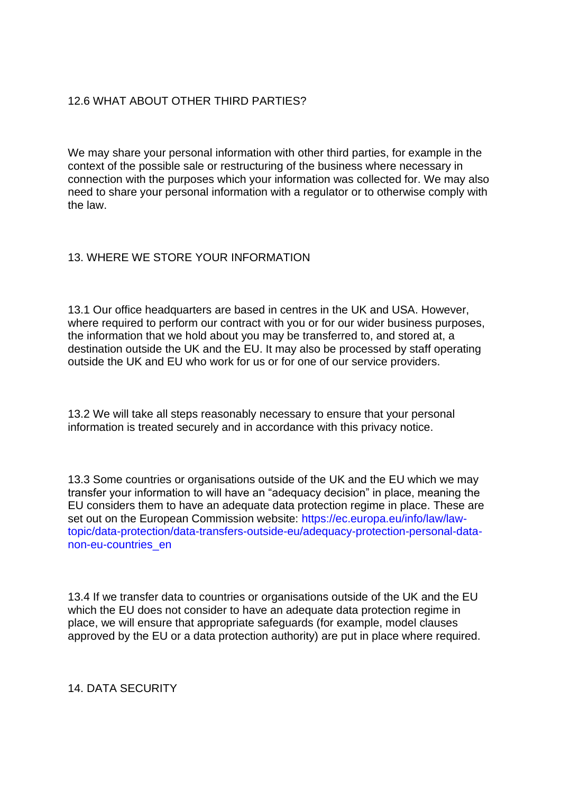### 12.6 WHAT ABOUT OTHER THIRD PARTIES?

We may share your personal information with other third parties, for example in the context of the possible sale or restructuring of the business where necessary in connection with the purposes which your information was collected for. We may also need to share your personal information with a regulator or to otherwise comply with the law.

### 13. WHERE WE STORE YOUR INFORMATION

13.1 Our office headquarters are based in centres in the UK and USA. However, where required to perform our contract with you or for our wider business purposes, the information that we hold about you may be transferred to, and stored at, a destination outside the UK and the EU. It may also be processed by staff operating outside the UK and EU who work for us or for one of our service providers.

13.2 We will take all steps reasonably necessary to ensure that your personal information is treated securely and in accordance with this privacy notice.

13.3 Some countries or organisations outside of the UK and the EU which we may transfer your information to will have an "adequacy decision" in place, meaning the EU considers them to have an adequate data protection regime in place. These are set out on the European Commission website: [https://ec.europa.eu/info/law/law](https://ec.europa.eu/info/law/law-topic/data-protection/data-transfers-outside-eu/adequacy-protection-personal-data-non-eu-countries_en)[topic/data-protection/data-transfers-outside-eu/adequacy-protection-personal-data](https://ec.europa.eu/info/law/law-topic/data-protection/data-transfers-outside-eu/adequacy-protection-personal-data-non-eu-countries_en)[non-eu-countries\\_en](https://ec.europa.eu/info/law/law-topic/data-protection/data-transfers-outside-eu/adequacy-protection-personal-data-non-eu-countries_en)

13.4 If we transfer data to countries or organisations outside of the UK and the EU which the EU does not consider to have an adequate data protection regime in place, we will ensure that appropriate safeguards (for example, model clauses approved by the EU or a data protection authority) are put in place where required.

14. DATA SECURITY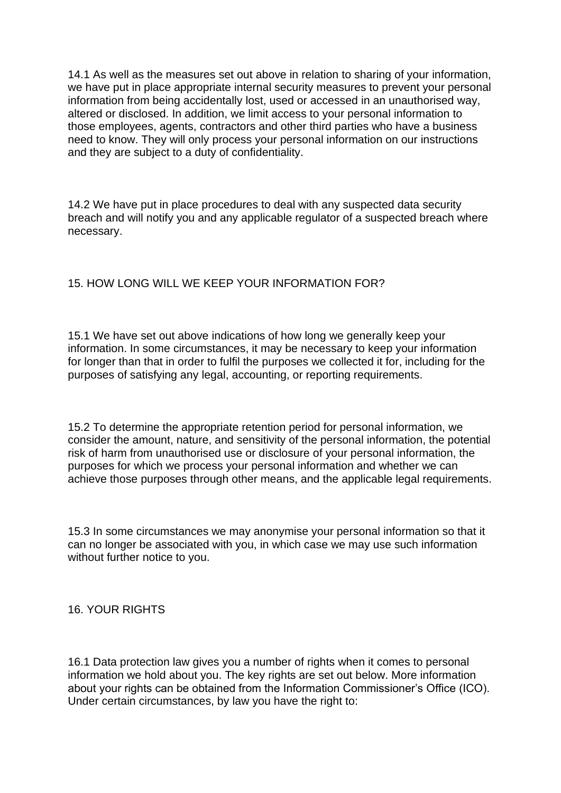14.1 As well as the measures set out above in relation to sharing of your information, we have put in place appropriate internal security measures to prevent your personal information from being accidentally lost, used or accessed in an unauthorised way, altered or disclosed. In addition, we limit access to your personal information to those employees, agents, contractors and other third parties who have a business need to know. They will only process your personal information on our instructions and they are subject to a duty of confidentiality.

14.2 We have put in place procedures to deal with any suspected data security breach and will notify you and any applicable regulator of a suspected breach where necessary.

## 15. HOW LONG WILL WE KEEP YOUR INFORMATION FOR?

15.1 We have set out above indications of how long we generally keep your information. In some circumstances, it may be necessary to keep your information for longer than that in order to fulfil the purposes we collected it for, including for the purposes of satisfying any legal, accounting, or reporting requirements.

15.2 To determine the appropriate retention period for personal information, we consider the amount, nature, and sensitivity of the personal information, the potential risk of harm from unauthorised use or disclosure of your personal information, the purposes for which we process your personal information and whether we can achieve those purposes through other means, and the applicable legal requirements.

15.3 In some circumstances we may anonymise your personal information so that it can no longer be associated with you, in which case we may use such information without further notice to you.

16. YOUR RIGHTS

16.1 Data protection law gives you a number of rights when it comes to personal information we hold about you. The key rights are set out below. More information about your rights can be obtained from the Information Commissioner's Office (ICO). Under certain circumstances, by law you have the right to: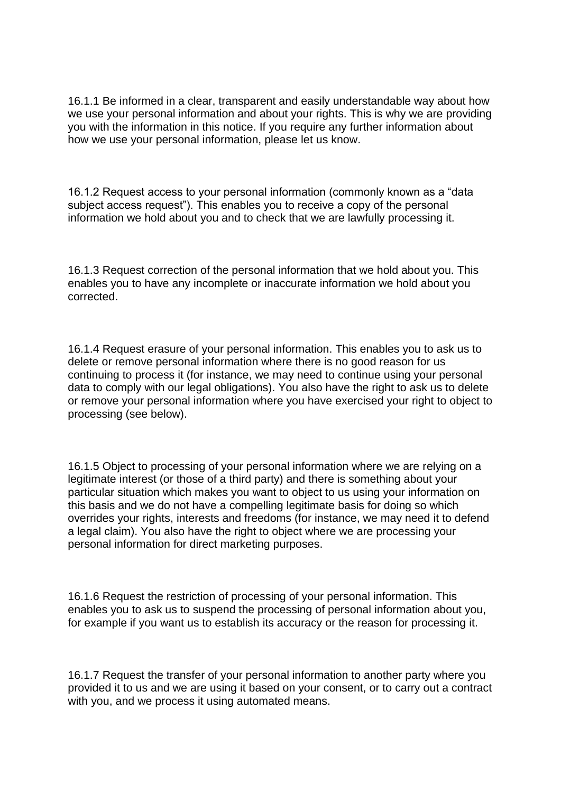16.1.1 Be informed in a clear, transparent and easily understandable way about how we use your personal information and about your rights. This is why we are providing you with the information in this notice. If you require any further information about how we use your personal information, please let us know.

16.1.2 Request access to your personal information (commonly known as a "data subject access request"). This enables you to receive a copy of the personal information we hold about you and to check that we are lawfully processing it.

16.1.3 Request correction of the personal information that we hold about you. This enables you to have any incomplete or inaccurate information we hold about you corrected.

16.1.4 Request erasure of your personal information. This enables you to ask us to delete or remove personal information where there is no good reason for us continuing to process it (for instance, we may need to continue using your personal data to comply with our legal obligations). You also have the right to ask us to delete or remove your personal information where you have exercised your right to object to processing (see below).

16.1.5 Object to processing of your personal information where we are relying on a legitimate interest (or those of a third party) and there is something about your particular situation which makes you want to object to us using your information on this basis and we do not have a compelling legitimate basis for doing so which overrides your rights, interests and freedoms (for instance, we may need it to defend a legal claim). You also have the right to object where we are processing your personal information for direct marketing purposes.

16.1.6 Request the restriction of processing of your personal information. This enables you to ask us to suspend the processing of personal information about you, for example if you want us to establish its accuracy or the reason for processing it.

16.1.7 Request the transfer of your personal information to another party where you provided it to us and we are using it based on your consent, or to carry out a contract with you, and we process it using automated means.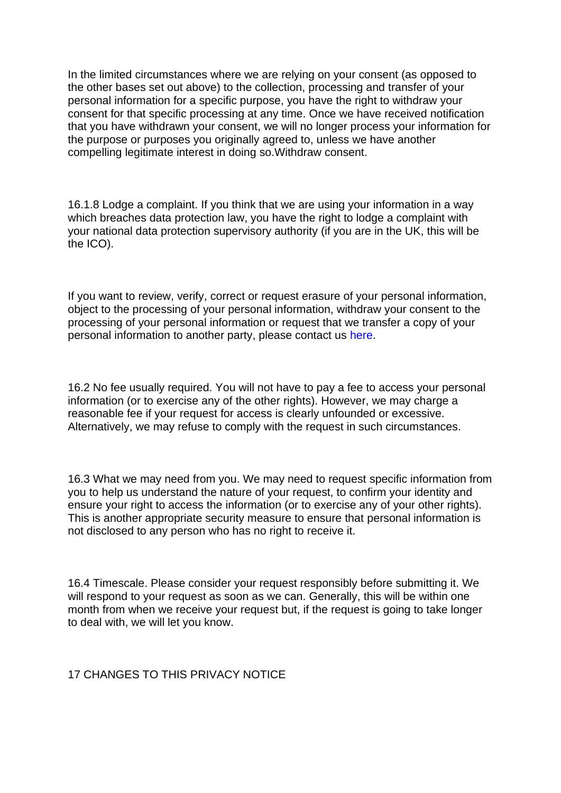In the limited circumstances where we are relying on your consent (as opposed to the other bases set out above) to the collection, processing and transfer of your personal information for a specific purpose, you have the right to withdraw your consent for that specific processing at any time. Once we have received notification that you have withdrawn your consent, we will no longer process your information for the purpose or purposes you originally agreed to, unless we have another compelling legitimate interest in doing so.Withdraw consent.

16.1.8 Lodge a complaint. If you think that we are using your information in a way which breaches data protection law, you have the right to lodge a complaint with your national data protection supervisory authority (if you are in the UK, this will be the ICO).

If you want to review, verify, correct or request erasure of your personal information, object to the processing of your personal information, withdraw your consent to the processing of your personal information or request that we transfer a copy of your personal information to another party, please contact us [here.](https://www.highwaycare.com/contact)

16.2 No fee usually required. You will not have to pay a fee to access your personal information (or to exercise any of the other rights). However, we may charge a reasonable fee if your request for access is clearly unfounded or excessive. Alternatively, we may refuse to comply with the request in such circumstances.

16.3 What we may need from you. We may need to request specific information from you to help us understand the nature of your request, to confirm your identity and ensure your right to access the information (or to exercise any of your other rights). This is another appropriate security measure to ensure that personal information is not disclosed to any person who has no right to receive it.

16.4 Timescale. Please consider your request responsibly before submitting it. We will respond to your request as soon as we can. Generally, this will be within one month from when we receive your request but, if the request is going to take longer to deal with, we will let you know.

17 CHANGES TO THIS PRIVACY NOTICE